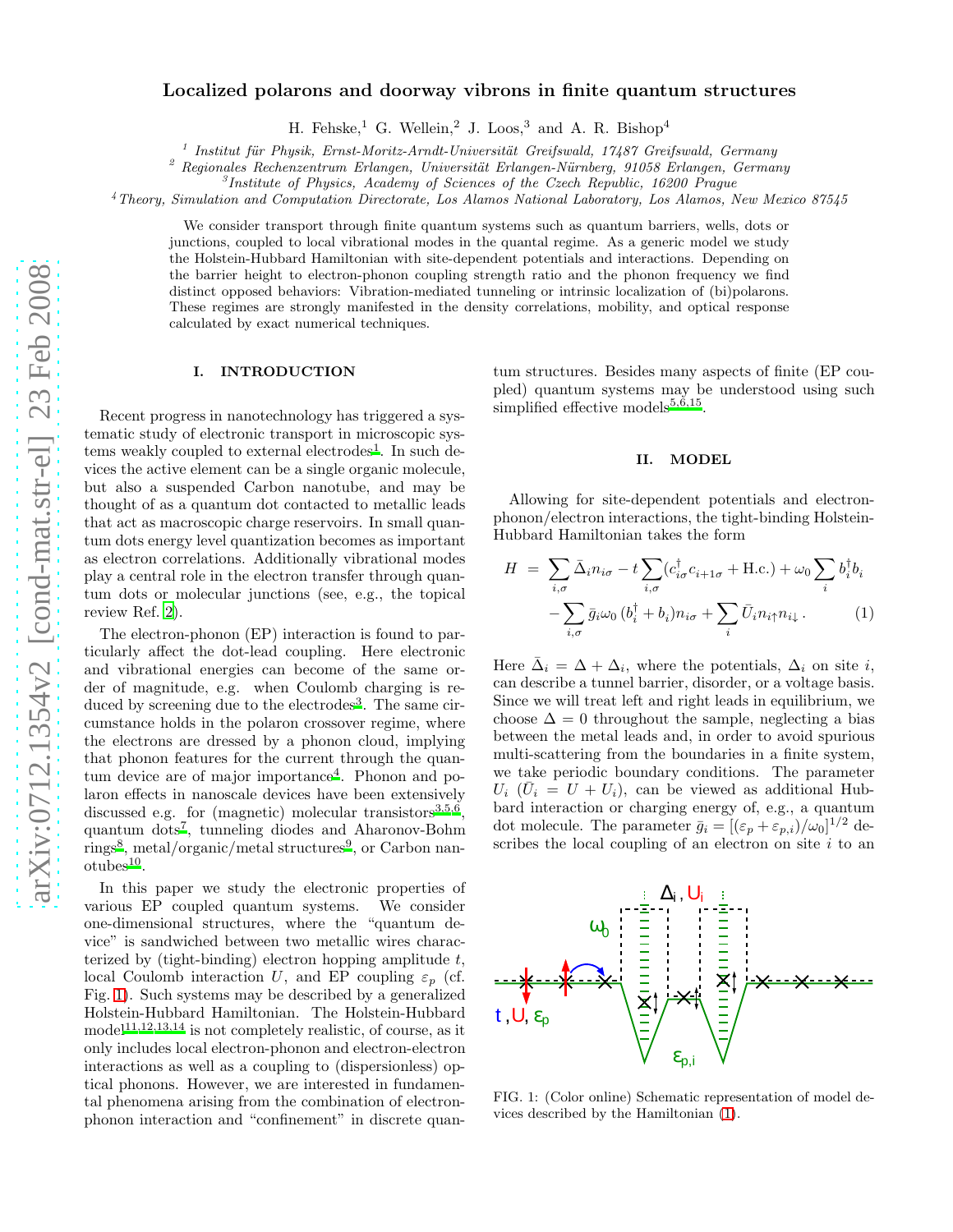# Localized polarons and doorway vibrons in finite quantum structures

H. Fehske,<sup>1</sup> G. Wellein,<sup>2</sup> J. Loos,<sup>3</sup> and A. R. Bishop<sup>4</sup>

 $1$  Institut für Physik, Ernst-Moritz-Arndt-Universität Greifswald, 17487 Greifswald, Germany

 $2$  Regionales Rechenzentrum Erlangen, Universität Erlangen-Nürnberg, 91058 Erlangen, Germany

<sup>3</sup>Institute of Physics, Academy of Sciences of the Czech Republic, 16200 Prague

<sup>4</sup>Theory, Simulation and Computation Directorate, Los Alamos National Laboratory, Los Alamos, New Mexico 87545

We consider transport through finite quantum systems such as quantum barriers, wells, dots or junctions, coupled to local vibrational modes in the quantal regime. As a generic model we study the Holstein-Hubbard Hamiltonian with site-dependent potentials and interactions. Depending on the barrier height to electron-phonon coupling strength ratio and the phonon frequency we find distinct opposed behaviors: Vibration-mediated tunneling or intrinsic localization of (bi)polarons. These regimes are strongly manifested in the density correlations, mobility, and optical response calculated by exact numerical techniques.

## I. INTRODUCTION

Recent progress in nanotechnology has triggered a systematic study of electronic transport in microscopic sys-tems weakly coupled to external electrodes<sup>[1](#page-4-0)</sup>. In such devices the active element can be a single organic molecule, but also a suspended Carbon nanotube, and may be thought of as a quantum dot contacted to metallic leads that act as macroscopic charge reservoirs. In small quantum dots energy level quantization becomes as important as electron correlations. Additionally vibrational modes play a central role in the electron transfer through quantum dots or molecular junctions (see, e.g., the topical review Ref. [2](#page-4-1)).

The electron-phonon (EP) interaction is found to particularly affect the dot-lead coupling. Here electronic and vibrational energies can become of the same order of magnitude, e.g. when Coulomb charging is re-duced by screening due to the electrodes<sup>[3](#page-4-2)</sup>. The same circumstance holds in the polaron crossover regime, where the electrons are dressed by a phonon cloud, implying that phonon features for the current through the quan-tum device are of major importance<sup>[4](#page-4-3)</sup>. Phonon and polaron effects in nanoscale devices have been extensively discussed e.g. for (magnetic) molecular transistors<sup>[3,](#page-4-2)[5](#page-4-4)[,6](#page-4-5)</sup>, quantum dots[7](#page-4-6) , tunneling diodes and Aharonov-Bohm rings<sup>[8](#page-4-7)</sup>, metal/organic/metal structures<sup>[9](#page-4-8)</sup>, or Carbon nan- $otubes<sup>10</sup>$  $otubes<sup>10</sup>$  $otubes<sup>10</sup>$ .

In this paper we study the electronic properties of various EP coupled quantum systems. We consider one-dimensional structures, where the "quantum device" is sandwiched between two metallic wires characterized by (tight-binding) electron hopping amplitude  $t$ , local Coulomb interaction U, and EP coupling  $\varepsilon_p$  (cf. Fig. [1\)](#page-0-0). Such systems may be described by a generalized Holstein-Hubbard Hamiltonian. The Holstein-Hubbard model<sup>[11](#page-5-0)[,12](#page-5-1)[,13](#page-5-2)[,14](#page-5-3)</sup> is not completely realistic, of course, as it only includes local electron-phonon and electron-electron interactions as well as a coupling to (dispersionless) optical phonons. However, we are interested in fundamental phenomena arising from the combination of electronphonon interaction and "confinement" in discrete quantum structures. Besides many aspects of finite (EP coupled) quantum systems may be understood using such simplified effective models $5,6,15$  $5,6,15$  $5,6,15$ .

# II. MODEL

Allowing for site-dependent potentials and electronphonon/electron interactions, the tight-binding Holstein-Hubbard Hamiltonian takes the form

<span id="page-0-1"></span>
$$
H = \sum_{i,\sigma} \bar{\Delta}_i n_{i\sigma} - t \sum_{i,\sigma} (c_{i\sigma}^\dagger c_{i+1\sigma} + \text{H.c.}) + \omega_0 \sum_i b_i^\dagger b_i
$$

$$
- \sum_{i,\sigma} \bar{g}_i \omega_0 (b_i^\dagger + b_i) n_{i\sigma} + \sum_i \bar{U}_i n_{i\uparrow} n_{i\downarrow}.
$$
 (1)

Here  $\bar{\Delta}_i = \Delta + \Delta_i$ , where the potentials,  $\Delta_i$  on site i, can describe a tunnel barrier, disorder, or a voltage basis. Since we will treat left and right leads in equilibrium, we choose  $\Delta = 0$  throughout the sample, neglecting a bias between the metal leads and, in order to avoid spurious multi-scattering from the boundaries in a finite system, we take periodic boundary conditions. The parameter  $U_i$  ( $\overline{U}_i = U + U_i$ ), can be viewed as additional Hubbard interaction or charging energy of, e.g., a quantum dot molecule. The parameter  $\bar{g}_i = [(\varepsilon_p + \varepsilon_{p,i})/\omega_0]^{1/2}$  describes the local coupling of an electron on site  $i$  to an



<span id="page-0-0"></span>FIG. 1: (Color online) Schematic representation of model devices described by the Hamiltonian [\(1\)](#page-0-1).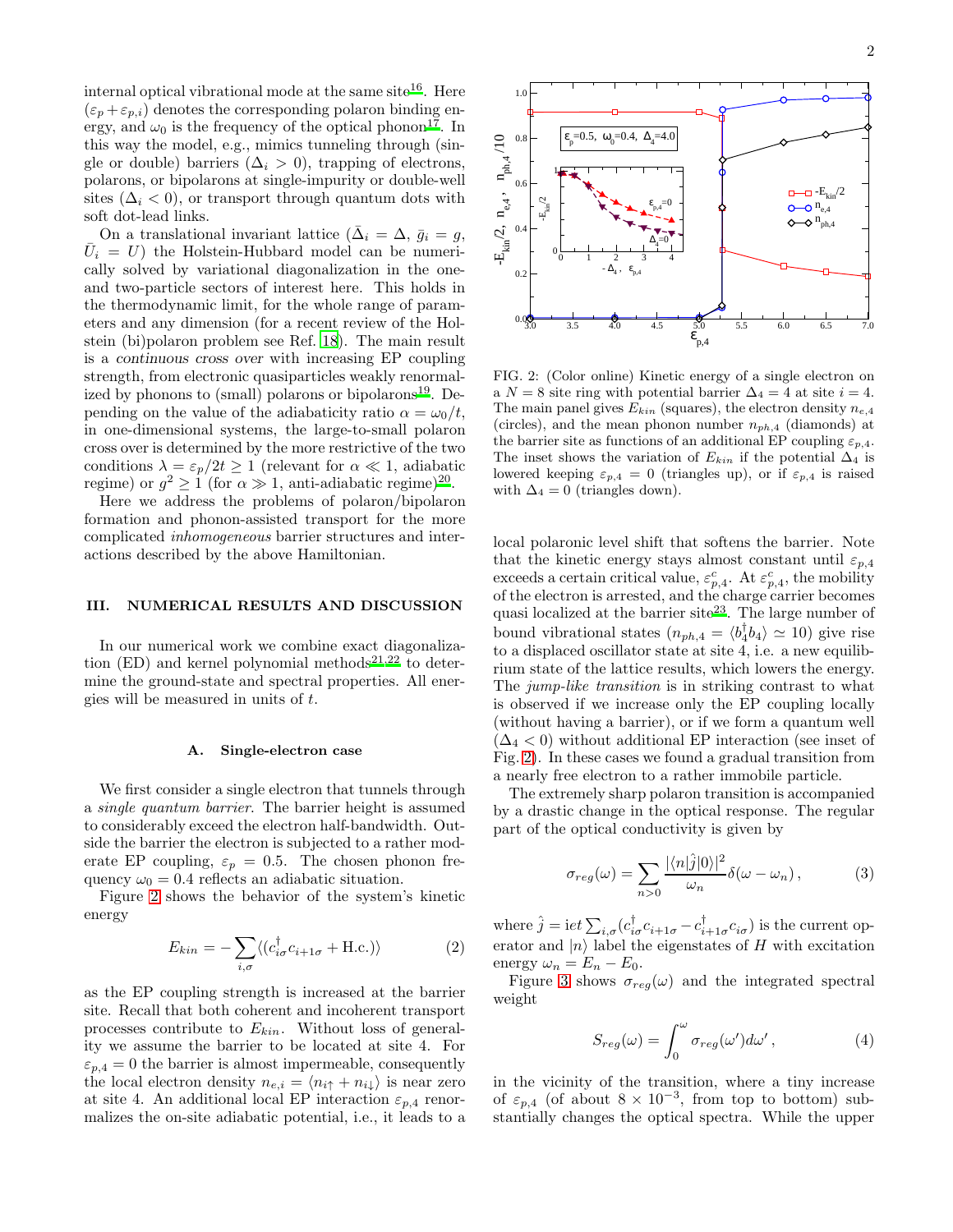internal optical vibrational mode at the same site<sup>[16](#page-5-5)</sup>. Here  $(\varepsilon_p + \varepsilon_{p,i})$  denotes the corresponding polaron binding energy, and  $\omega_0$  is the frequency of the optical phonon<sup>[17](#page-5-6)</sup>. In this way the model, e.g., mimics tunneling through (single or double) barriers ( $\Delta_i > 0$ ), trapping of electrons, polarons, or bipolarons at single-impurity or double-well sites  $(\Delta_i < 0)$ , or transport through quantum dots with soft dot-lead links.

On a translational invariant lattice ( $\bar{\Delta}_i = \Delta$ ,  $\bar{g}_i = g$ ,  $\bar{U}_i = U$ ) the Holstein-Hubbard model can be numerically solved by variational diagonalization in the oneand two-particle sectors of interest here. This holds in the thermodynamic limit, for the whole range of parameters and any dimension (for a recent review of the Holstein (bi)polaron problem see Ref. [18](#page-5-7)). The main result is a continuous cross over with increasing EP coupling strength, from electronic quasiparticles weakly renormal-ized by phonons to (small) polarons or bipolarons<sup>[19](#page-5-8)</sup>. Depending on the value of the adiabaticity ratio  $\alpha = \omega_0/t$ , in one-dimensional systems, the large-to-small polaron cross over is determined by the more restrictive of the two conditions  $\lambda = \varepsilon_p/2t \ge 1$  (relevant for  $\alpha \ll 1$ , adiabatic regime) or  $g^2 \geq 1$  (for  $\alpha \gg 1$ , anti-adiabatic regime)<sup>[20](#page-5-9)</sup>.

Here we address the problems of polaron/bipolaron formation and phonon-assisted transport for the more complicated inhomogeneous barrier structures and interactions described by the above Hamiltonian.

# III. NUMERICAL RESULTS AND DISCUSSION

In our numerical work we combine exact diagonaliza-tion (ED) and kernel polynomial methods<sup>[21](#page-5-10)[,22](#page-5-11)</sup> to determine the ground-state and spectral properties. All energies will be measured in units of t.

#### A. Single-electron case

We first consider a single electron that tunnels through a single quantum barrier. The barrier height is assumed to considerably exceed the electron half-bandwidth. Outside the barrier the electron is subjected to a rather moderate EP coupling,  $\varepsilon_p = 0.5$ . The chosen phonon frequency  $\omega_0 = 0.4$  reflects an adiabatic situation.

Figure [2](#page-1-0) shows the behavior of the system's kinetic energy

$$
E_{kin} = -\sum_{i,\sigma} \langle (c_{i\sigma}^{\dagger} c_{i+1\sigma} + \text{H.c.}) \rangle \tag{2}
$$

as the EP coupling strength is increased at the barrier site. Recall that both coherent and incoherent transport processes contribute to  $E_{kin}$ . Without loss of generality we assume the barrier to be located at site 4. For  $\varepsilon_{p,4} = 0$  the barrier is almost impermeable, consequently the local electron density  $n_{e,i} = \langle n_{i\uparrow} + n_{i\downarrow} \rangle$  is near zero at site 4. An additional local EP interaction  $\varepsilon_{p,4}$  renormalizes the on-site adiabatic potential, i.e., it leads to a



<span id="page-1-0"></span>FIG. 2: (Color online) Kinetic energy of a single electron on a  $N = 8$  site ring with potential barrier  $\Delta_4 = 4$  at site  $i = 4$ . The main panel gives  $E_{kin}$  (squares), the electron density  $n_{e,4}$ (circles), and the mean phonon number  $n_{ph,4}$  (diamonds) at the barrier site as functions of an additional EP coupling  $\varepsilon_{p,4}$ . The inset shows the variation of  $E_{kin}$  if the potential  $\Delta_4$  is lowered keeping  $\varepsilon_{p,4} = 0$  (triangles up), or if  $\varepsilon_{p,4}$  is raised with  $\Delta_4 = 0$  (triangles down).

local polaronic level shift that softens the barrier. Note that the kinetic energy stays almost constant until  $\varepsilon_{p,4}$ exceeds a certain critical value,  $\varepsilon_{p,4}^c$ . At  $\varepsilon_{p,4}^c$ , the mobility of the electron is arrested, and the charge carrier becomes quasi localized at the barrier site<sup>[23](#page-5-12)</sup>. The large number of bound vibrational states  $(n_{ph,4} = \langle b_4^{\dagger} b_4 \rangle \simeq 10)$  give rise to a displaced oscillator state at site 4, i.e. a new equilibrium state of the lattice results, which lowers the energy. The jump-like transition is in striking contrast to what is observed if we increase only the EP coupling locally (without having a barrier), or if we form a quantum well  $(\Delta_4 < 0)$  without additional EP interaction (see inset of Fig. [2\)](#page-1-0). In these cases we found a gradual transition from a nearly free electron to a rather immobile particle.

The extremely sharp polaron transition is accompanied by a drastic change in the optical response. The regular part of the optical conductivity is given by

$$
\sigma_{reg}(\omega) = \sum_{n>0} \frac{|\langle n|\hat{j}|0\rangle|^2}{\omega_n} \delta(\omega - \omega_n), \qquad (3)
$$

where  $\hat{j} = \mathrm{i}et\sum_{i,\sigma}(c_{i\sigma}^{\dagger}c_{i+1\sigma} - c_{i+1\sigma}^{\dagger}c_{i\sigma})$  is the current operator and  $|n\rangle$  label the eigenstates of H with excitation energy  $\omega_n = E_n - E_0$ .

Figure [3](#page-2-0) shows  $\sigma_{reg}(\omega)$  and the integrated spectral weight

$$
S_{reg}(\omega) = \int_0^{\omega} \sigma_{reg}(\omega') d\omega', \qquad (4)
$$

in the vicinity of the transition, where a tiny increase of  $\varepsilon_{p,4}$  (of about  $8 \times 10^{-3}$ , from top to bottom) substantially changes the optical spectra. While the upper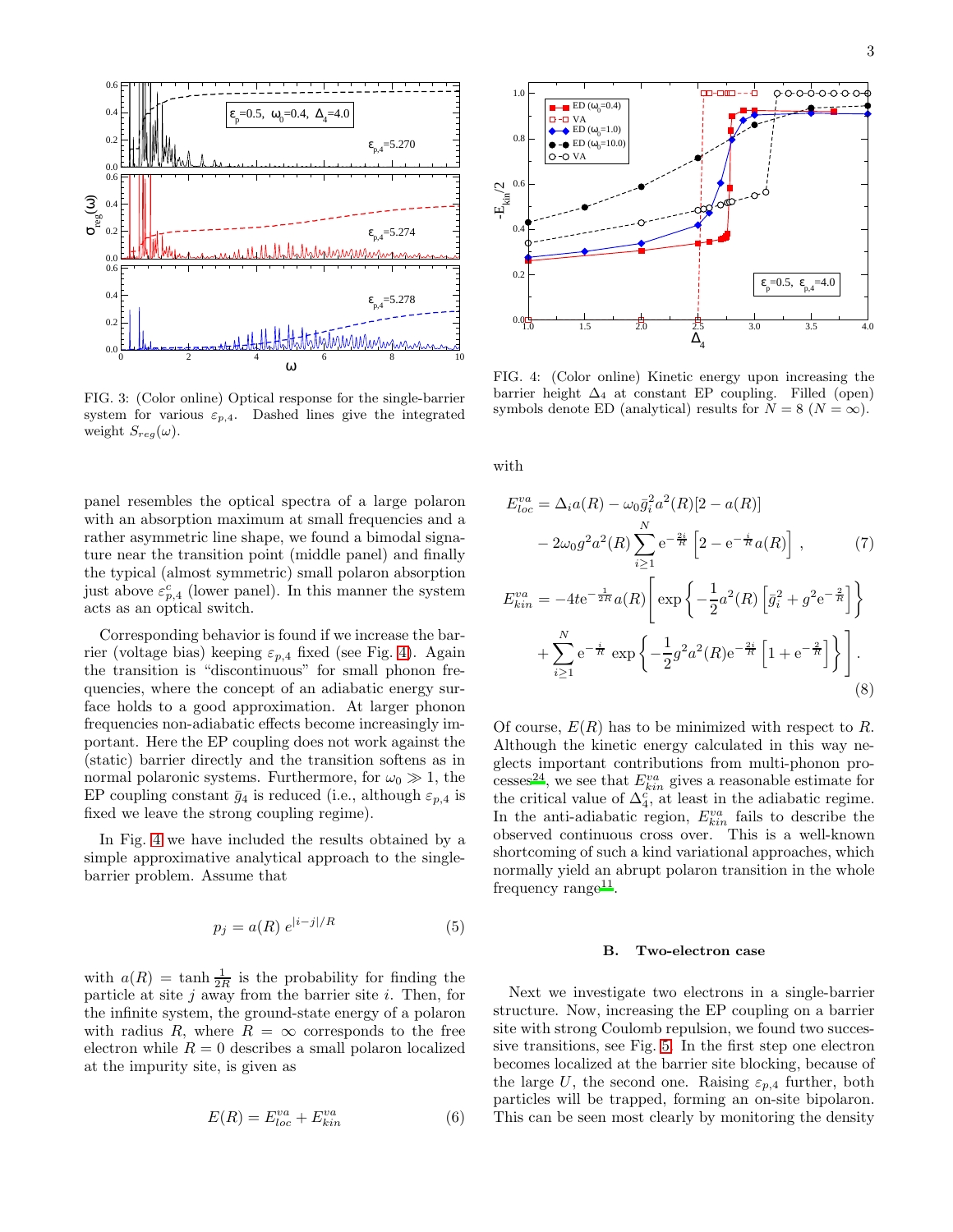

<span id="page-2-0"></span>FIG. 3: (Color online) Optical response for the single-barrier system for various  $\varepsilon_{p,4}$ . Dashed lines give the integrated weight  $S_{reg}(\omega)$ .

panel resembles the optical spectra of a large polaron with an absorption maximum at small frequencies and a rather asymmetric line shape, we found a bimodal signature near the transition point (middle panel) and finally the typical (almost symmetric) small polaron absorption just above  $\varepsilon_{p,4}^c$  (lower panel). In this manner the system acts as an optical switch.

Corresponding behavior is found if we increase the barrier (voltage bias) keeping  $\varepsilon_{p,4}$  fixed (see Fig. [4\)](#page-2-1). Again the transition is "discontinuous" for small phonon frequencies, where the concept of an adiabatic energy surface holds to a good approximation. At larger phonon frequencies non-adiabatic effects become increasingly important. Here the EP coupling does not work against the (static) barrier directly and the transition softens as in normal polaronic systems. Furthermore, for  $\omega_0 \gg 1$ , the EP coupling constant  $\bar{g}_4$  is reduced (i.e., although  $\varepsilon_{p,4}$  is fixed we leave the strong coupling regime).

In Fig. [4](#page-2-1) we have included the results obtained by a simple approximative analytical approach to the singlebarrier problem. Assume that

$$
p_j = a(R) e^{|i-j|/R} \tag{5}
$$

with  $a(R) = \tanh \frac{1}{2R}$  is the probability for finding the particle at site  $j$  away from the barrier site  $i$ . Then, for the infinite system, the ground-state energy of a polaron with radius R, where  $R = \infty$  corresponds to the free electron while  $R = 0$  describes a small polaron localized at the impurity site, is given as

$$
E(R) = E_{loc}^{va} + E_{kin}^{va} \tag{6}
$$



<span id="page-2-1"></span>FIG. 4: (Color online) Kinetic energy upon increasing the barrier height  $\Delta_4$  at constant EP coupling. Filled (open) symbols denote ED (analytical) results for  $N = 8$  ( $N = \infty$ ).

with

$$
E_{loc}^{va} = \Delta_i a(R) - \omega_0 \bar{g}_i^2 a^2(R) [2 - a(R)]
$$
  
\n
$$
- 2\omega_0 g^2 a^2(R) \sum_{i \ge 1}^N e^{-\frac{2i}{R}} \left[ 2 - e^{-\frac{i}{R}} a(R) \right], \qquad (7)
$$
  
\n
$$
E_{kin}^{va} = -4te^{-\frac{1}{2R}} a(R) \left[ \exp \left\{ -\frac{1}{2} a^2(R) \left[ \bar{g}_i^2 + g^2 e^{-\frac{2}{R}} \right] \right\} \right]
$$

$$
+\sum_{i\geq 1}^{N} e^{-\frac{i}{R}} \exp\left\{-\frac{1}{2}g^{2}a^{2}(R)e^{-\frac{2i}{R}}\left[1+e^{-\frac{2}{R}}\right]\right\}.
$$
\n(8)

Of course,  $E(R)$  has to be minimized with respect to R. Although the kinetic energy calculated in this way neglects important contributions from multi-phonon proce[s](#page-5-13)ses<sup>24</sup>, we see that  $E_{kin}^{va}$  gives a reasonable estimate for the critical value of  $\Delta_4^c$ , at least in the adiabatic regime. In the anti-adiabatic region,  $E_{kin}^{va}$  fails to describe the observed continuous cross over. This is a well-known shortcoming of such a kind variational approaches, which normally yield an abrupt polaron transition in the whole frequency  $\text{range}^{11}$  $\text{range}^{11}$  $\text{range}^{11}$ .

#### B. Two-electron case

Next we investigate two electrons in a single-barrier structure. Now, increasing the EP coupling on a barrier site with strong Coulomb repulsion, we found two successive transitions, see Fig. [5.](#page-3-0) In the first step one electron becomes localized at the barrier site blocking, because of the large U, the second one. Raising  $\varepsilon_{p,4}$  further, both particles will be trapped, forming an on-site bipolaron. This can be seen most clearly by monitoring the density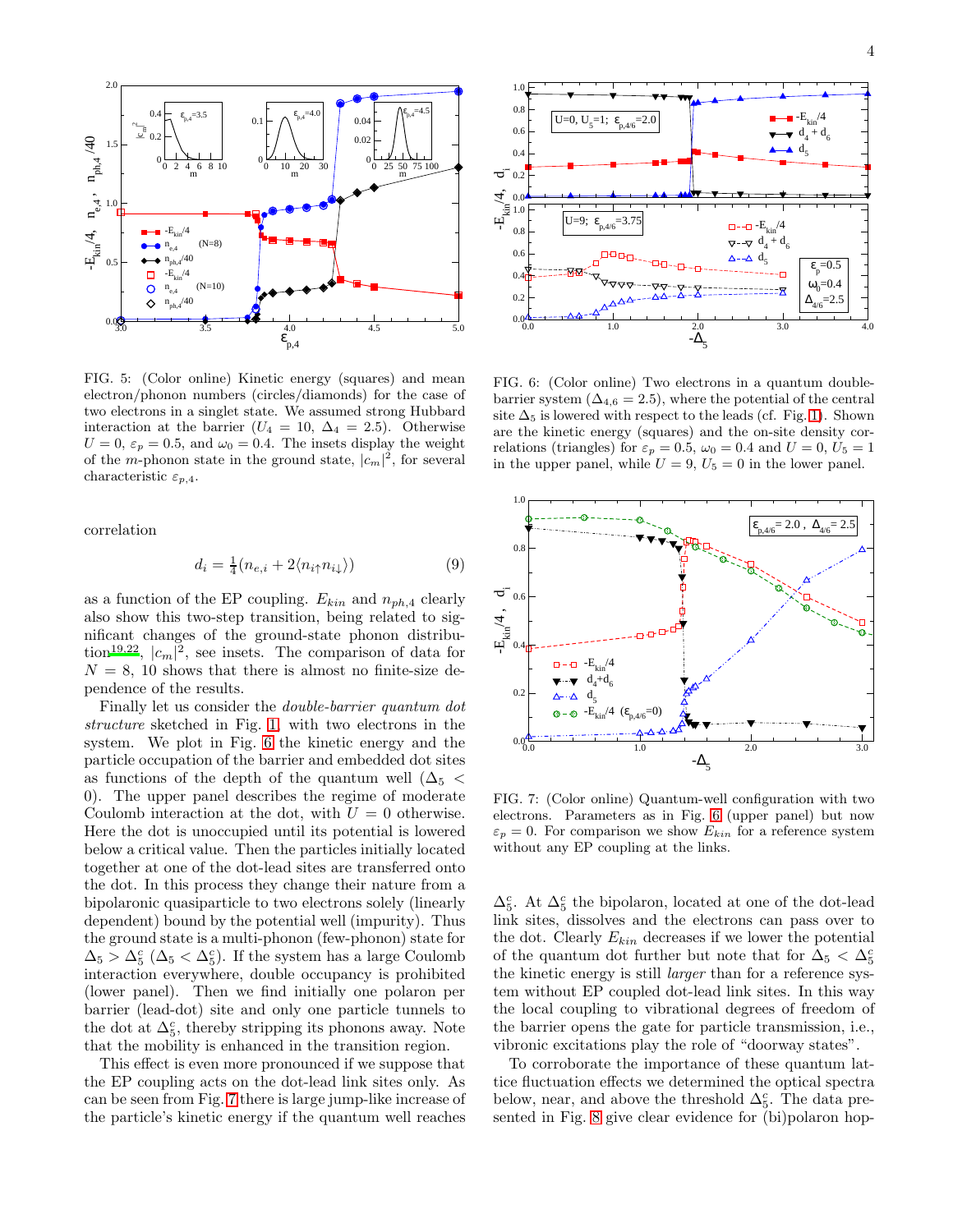

<span id="page-3-0"></span>FIG. 5: (Color online) Kinetic energy (squares) and mean electron/phonon numbers (circles/diamonds) for the case of two electrons in a singlet state. We assumed strong Hubbard interaction at the barrier ( $U_4 = 10, \Delta_4 = 2.5$ ). Otherwise  $U = 0$ ,  $\varepsilon_p = 0.5$ , and  $\omega_0 = 0.4$ . The insets display the weight of the m-phonon state in the ground state,  $|c_m|^2$ , for several characteristic  $\varepsilon_{p,4}$ .

correlation

$$
d_i = \frac{1}{4}(n_{e,i} + 2\langle n_{i\uparrow}n_{i\downarrow} \rangle) \tag{9}
$$

as a function of the EP coupling.  $E_{kin}$  and  $n_{ph,4}$  clearly also show this two-step transition, being related to significant changes of the ground-state phonon distribu-tion<sup>[19](#page-5-8)[,22](#page-5-11)</sup>,  $|c_m|^2$ , see insets. The comparison of data for  $N = 8$ , 10 shows that there is almost no finite-size dependence of the results.

Finally let us consider the double-barrier quantum dot structure sketched in Fig. [1,](#page-0-0) with two electrons in the system. We plot in Fig. [6](#page-3-1) the kinetic energy and the particle occupation of the barrier and embedded dot sites as functions of the depth of the quantum well ( $\Delta_5$  < 0). The upper panel describes the regime of moderate Coulomb interaction at the dot, with  $U = 0$  otherwise. Here the dot is unoccupied until its potential is lowered below a critical value. Then the particles initially located together at one of the dot-lead sites are transferred onto the dot. In this process they change their nature from a bipolaronic quasiparticle to two electrons solely (linearly dependent) bound by the potential well (impurity). Thus the ground state is a multi-phonon (few-phonon) state for  $\Delta_5 > \Delta_5^c$  ( $\Delta_5 < \Delta_5^c$ ). If the system has a large Coulomb interaction everywhere, double occupancy is prohibited (lower panel). Then we find initially one polaron per barrier (lead-dot) site and only one particle tunnels to the dot at  $\Delta_5^c$  , thereby stripping its phonons away. Note that the mobility is enhanced in the transition region.

This effect is even more pronounced if we suppose that the EP coupling acts on the dot-lead link sites only. As can be seen from Fig. [7](#page-3-2) there is large jump-like increase of the particle's kinetic energy if the quantum well reaches



<span id="page-3-1"></span>FIG. 6: (Color online) Two electrons in a quantum doublebarrier system ( $\Delta_{4,6} = 2.5$ ), where the potential of the central site  $\Delta_5$  is lowered with respect to the leads (cf. Fig. [1\)](#page-0-0). Shown are the kinetic energy (squares) and the on-site density correlations (triangles) for  $\varepsilon_p = 0.5$ ,  $\omega_0 = 0.4$  and  $U = 0$ ,  $U_5 = 1$ in the upper panel, while  $U = 9$ ,  $U_5 = 0$  in the lower panel.



<span id="page-3-2"></span>FIG. 7: (Color online) Quantum-well configuration with two electrons. Parameters as in Fig. [6](#page-3-1) (upper panel) but now  $\varepsilon_p = 0$ . For comparison we show  $E_{kin}$  for a reference system without any EP coupling at the links.

 $\Delta_5^c$  . At  $\Delta_5^c$  the bipolaron, located at one of the dot-lead link sites, dissolves and the electrons can pass over to the dot. Clearly  $E_{kin}$  decreases if we lower the potential of the quantum dot further but note that for  $\Delta_5 < \Delta_5^c$ the kinetic energy is still larger than for a reference system without EP coupled dot-lead link sites. In this way the local coupling to vibrational degrees of freedom of the barrier opens the gate for particle transmission, i.e., vibronic excitations play the role of "doorway states".

To corroborate the importance of these quantum lattice fluctuation effects we determined the optical spectra below, near, and above the threshold  $\Delta_5^c$ . The data presented in Fig. [8](#page-4-10) give clear evidence for (bi)polaron hop-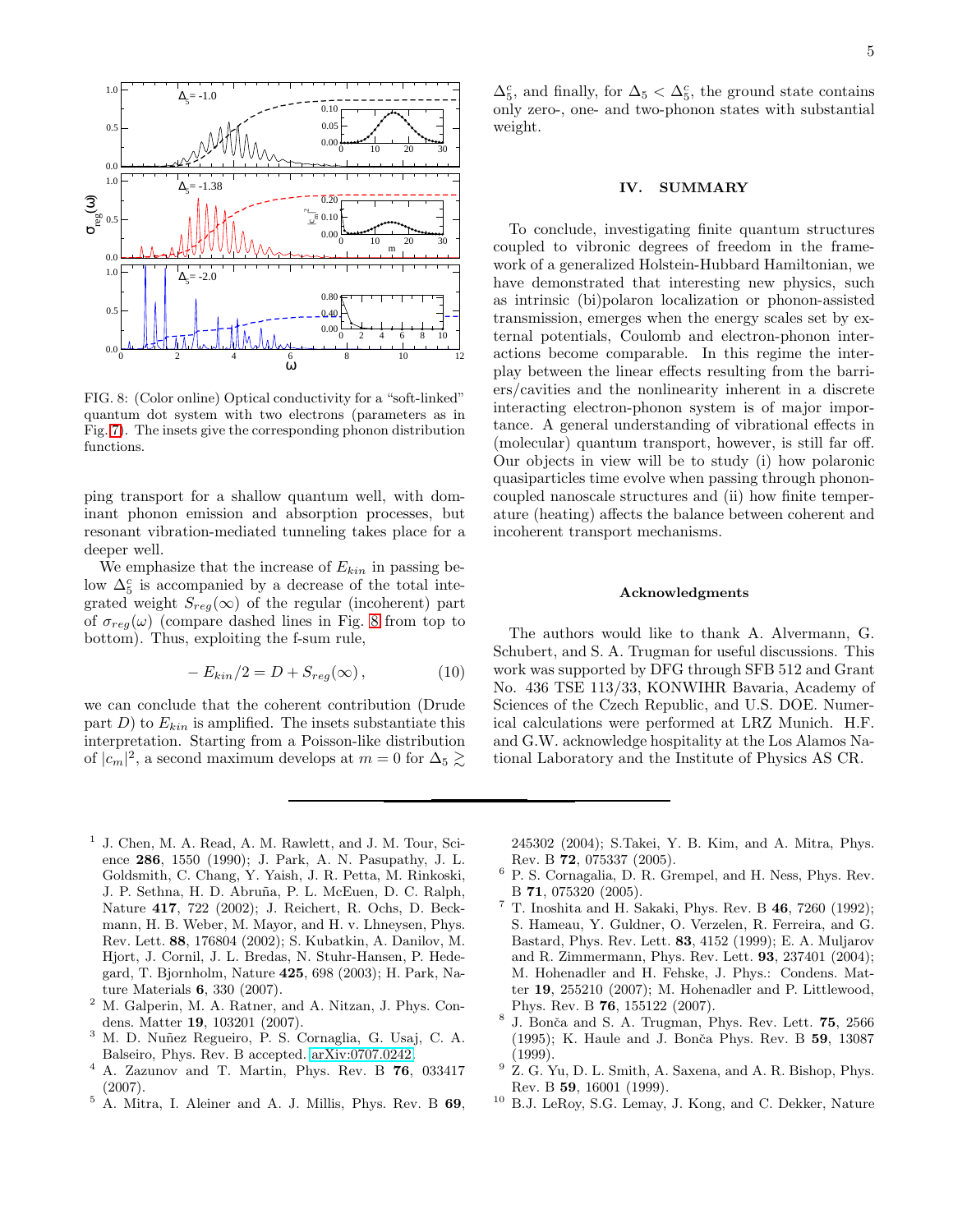

<span id="page-4-10"></span>FIG. 8: (Color online) Optical conductivity for a "soft-linked" quantum dot system with two electrons (parameters as in Fig. [7\)](#page-3-2). The insets give the corresponding phonon distribution functions.

ping transport for a shallow quantum well, with dominant phonon emission and absorption processes, but resonant vibration-mediated tunneling takes place for a deeper well.

We emphasize that the increase of  $E_{kin}$  in passing below  $\Delta_5^c$  is accompanied by a decrease of the total integrated weight  $S_{reg}(\infty)$  of the regular (incoherent) part of  $\sigma_{req}(\omega)$  (compare dashed lines in Fig. [8](#page-4-10) from top to bottom). Thus, exploiting the f-sum rule,

$$
-E_{kin}/2 = D + S_{reg}(\infty), \qquad (10)
$$

we can conclude that the coherent contribution (Drude part  $D$ ) to  $E_{kin}$  is amplified. The insets substantiate this interpretation. Starting from a Poisson-like distribution of  $|c_m|^2$ , a second maximum develops at  $m=0$  for  $\Delta_5 \gtrsim$ 

 $\Delta_5^c$ , and finally, for  $\Delta_5 < \Delta_5^c$ , the ground state contains only zero-, one- and two-phonon states with substantial weight.

### IV. SUMMARY

To conclude, investigating finite quantum structures coupled to vibronic degrees of freedom in the framework of a generalized Holstein-Hubbard Hamiltonian, we have demonstrated that interesting new physics, such as intrinsic (bi)polaron localization or phonon-assisted transmission, emerges when the energy scales set by external potentials, Coulomb and electron-phonon interactions become comparable. In this regime the interplay between the linear effects resulting from the barriers/cavities and the nonlinearity inherent in a discrete interacting electron-phonon system is of major importance. A general understanding of vibrational effects in (molecular) quantum transport, however, is still far off. Our objects in view will be to study (i) how polaronic quasiparticles time evolve when passing through phononcoupled nanoscale structures and (ii) how finite temperature (heating) affects the balance between coherent and incoherent transport mechanisms.

### Acknowledgments

The authors would like to thank A. Alvermann, G. Schubert, and S. A. Trugman for useful discussions. This work was supported by DFG through SFB 512 and Grant No. 436 TSE 113/33, KONWIHR Bavaria, Academy of Sciences of the Czech Republic, and U.S. DOE. Numerical calculations were performed at LRZ Munich. H.F. and G.W. acknowledge hospitality at the Los Alamos National Laboratory and the Institute of Physics AS CR.

- <span id="page-4-0"></span>1 J. Chen, M. A. Read, A. M. Rawlett, and J. M. Tour, Science 286, 1550 (1990); J. Park, A. N. Pasupathy, J. L. Goldsmith, C. Chang, Y. Yaish, J. R. Petta, M. Rinkoski, J. P. Sethna, H. D. Abruña, P. L. McEuen, D. C. Ralph, Nature 417, 722 (2002); J. Reichert, R. Ochs, D. Beckmann, H. B. Weber, M. Mayor, and H. v. Lhneysen, Phys. Rev. Lett. 88, 176804 (2002); S. Kubatkin, A. Danilov, M. Hjort, J. Cornil, J. L. Bredas, N. Stuhr-Hansen, P. Hedegard, T. Bjornholm, Nature 425, 698 (2003); H. Park, Nature Materials 6, 330 (2007).
- <span id="page-4-1"></span><sup>2</sup> M. Galperin, M. A. Ratner, and A. Nitzan, J. Phys. Condens. Matter 19, 103201 (2007).
- <span id="page-4-2"></span> $3$  M. D. Nuñez Regueiro, P. S. Cornaglia, G. Usaj, C. A. Balseiro, Phys. Rev. B accepted. [arXiv:0707.0242.](http://arxiv.org/abs/0707.0242)
- <span id="page-4-3"></span><sup>4</sup> A. Zazunov and T. Martin, Phys. Rev. B 76, 033417 (2007).
- <span id="page-4-4"></span><sup>5</sup> A. Mitra, I. Aleiner and A. J. Millis, Phys. Rev. B 69,

245302 (2004); S.Takei, Y. B. Kim, and A. Mitra, Phys. Rev. B 72, 075337 (2005).

- <span id="page-4-5"></span> $6$  P. S. Cornagalia, D. R. Grempel, and H. Ness, Phys. Rev. B 71, 075320 (2005).
- <span id="page-4-6"></span> $^7$  T. Inoshita and H. Sakaki, Phys. Rev. B  $\bf{46},$   $\bf{7260}$  (1992); S. Hameau, Y. Guldner, O. Verzelen, R. Ferreira, and G. Bastard, Phys. Rev. Lett. 83, 4152 (1999); E. A. Muljarov and R. Zimmermann, Phys. Rev. Lett. 93, 237401 (2004); M. Hohenadler and H. Fehske, J. Phys.: Condens. Matter 19, 255210 (2007); M. Hohenadler and P. Littlewood, Phys. Rev. B 76, 155122 (2007).
- <span id="page-4-7"></span><sup>8</sup> J. Bonča and S. A. Trugman, Phys. Rev. Lett. 75, 2566 (1995); K. Haule and J. Bonča Phys. Rev. B 59, 13087 (1999).
- <span id="page-4-8"></span> $9\,$  Z. G. Yu, D. L. Smith, A. Saxena, and A. R. Bishop, Phys. Rev. B 59, 16001 (1999).
- <span id="page-4-9"></span><sup>10</sup> B.J. LeRoy, S.G. Lemay, J. Kong, and C. Dekker, Nature